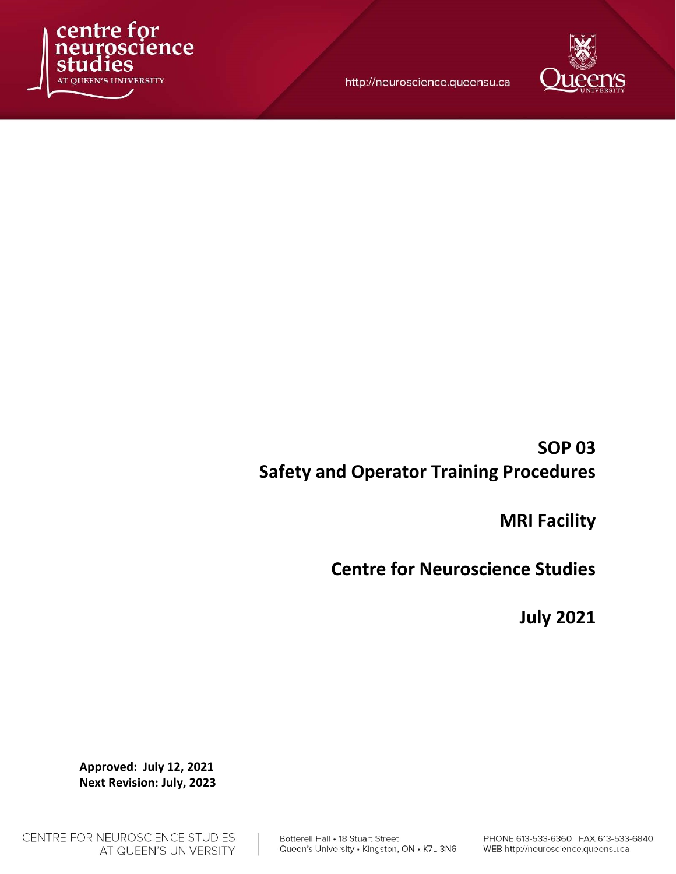

http://neuroscience.queensu.ca



# SOP 03 Safety and Operator Training Procedures

MRI Facility

Centre for Neuroscience Studies

July 2021

Approved: July 12, 2021 Next Revision: July, 2023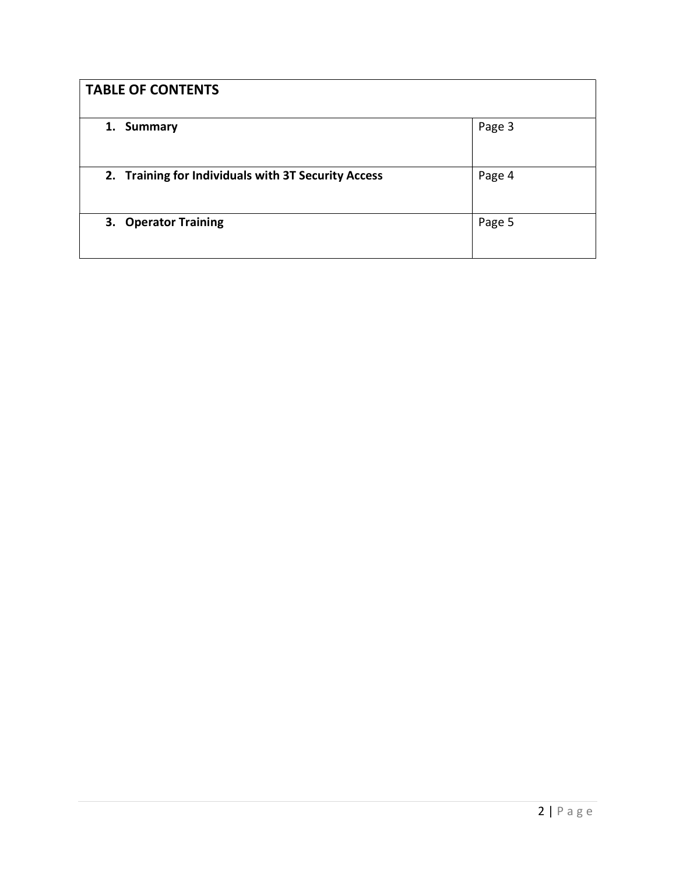| <b>TABLE OF CONTENTS</b>                            |        |
|-----------------------------------------------------|--------|
| <b>Summary</b><br>1.                                | Page 3 |
| 2. Training for Individuals with 3T Security Access | Page 4 |
| 3. Operator Training                                | Page 5 |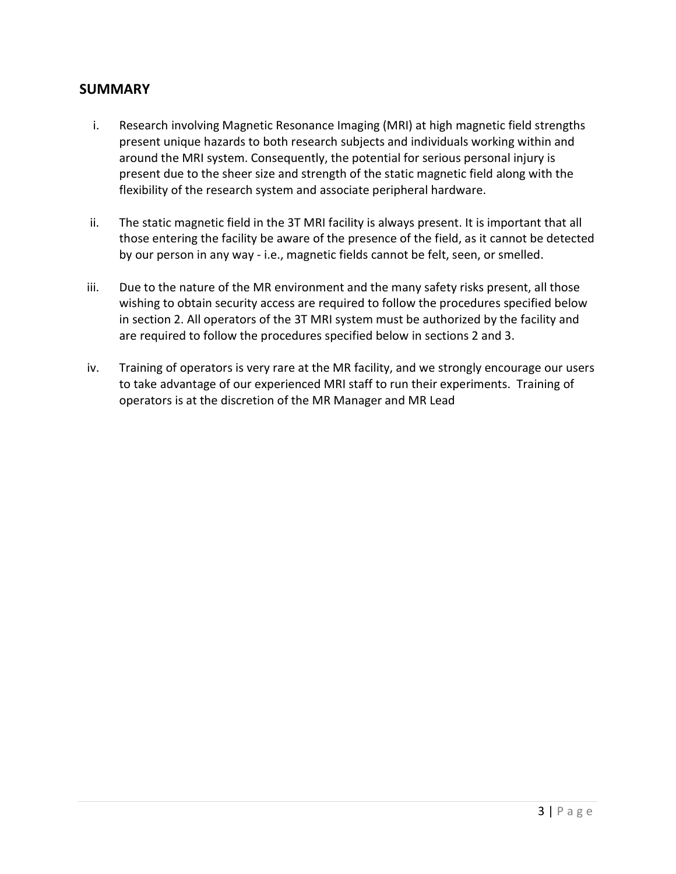#### **SUMMARY**

- i. Research involving Magnetic Resonance Imaging (MRI) at high magnetic field strengths present unique hazards to both research subjects and individuals working within and around the MRI system. Consequently, the potential for serious personal injury is present due to the sheer size and strength of the static magnetic field along with the flexibility of the research system and associate peripheral hardware.
- ii. The static magnetic field in the 3T MRI facility is always present. It is important that all those entering the facility be aware of the presence of the field, as it cannot be detected by our person in any way - i.e., magnetic fields cannot be felt, seen, or smelled.
- iii. Due to the nature of the MR environment and the many safety risks present, all those wishing to obtain security access are required to follow the procedures specified below in section 2. All operators of the 3T MRI system must be authorized by the facility and are required to follow the procedures specified below in sections 2 and 3.
- iv. Training of operators is very rare at the MR facility, and we strongly encourage our users to take advantage of our experienced MRI staff to run their experiments. Training of operators is at the discretion of the MR Manager and MR Lead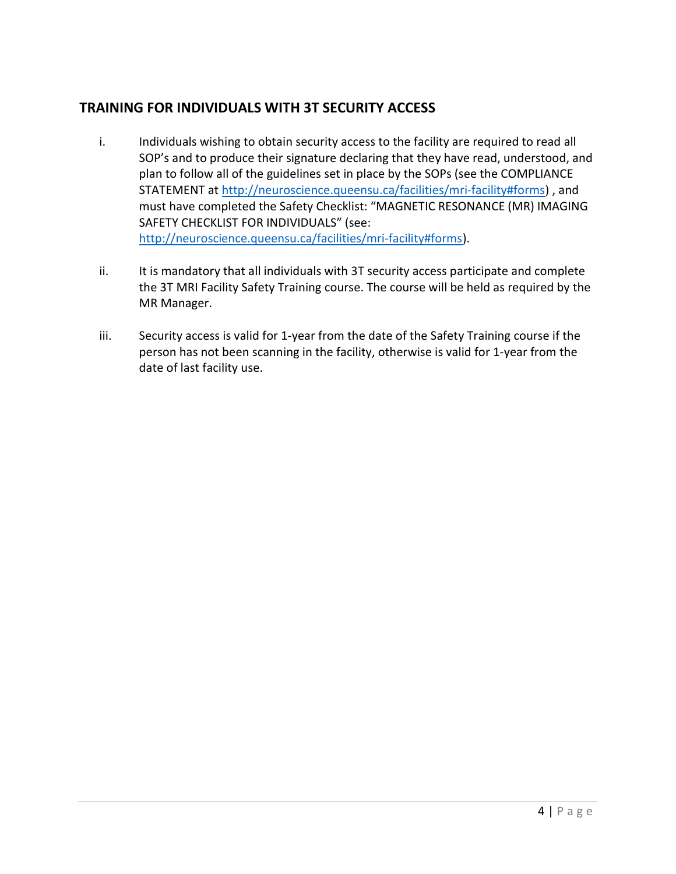## TRAINING FOR INDIVIDUALS WITH 3T SECURITY ACCESS

- i. Individuals wishing to obtain security access to the facility are required to read all SOP's and to produce their signature declaring that they have read, understood, and plan to follow all of the guidelines set in place by the SOPs (see the COMPLIANCE STATEMENT at http://neuroscience.queensu.ca/facilities/mri-facility#forms) , and must have completed the Safety Checklist: "MAGNETIC RESONANCE (MR) IMAGING SAFETY CHECKLIST FOR INDIVIDUALS" (see: http://neuroscience.queensu.ca/facilities/mri-facility#forms).
- ii. It is mandatory that all individuals with 3T security access participate and complete the 3T MRI Facility Safety Training course. The course will be held as required by the MR Manager.
- iii. Security access is valid for 1-year from the date of the Safety Training course if the person has not been scanning in the facility, otherwise is valid for 1-year from the date of last facility use.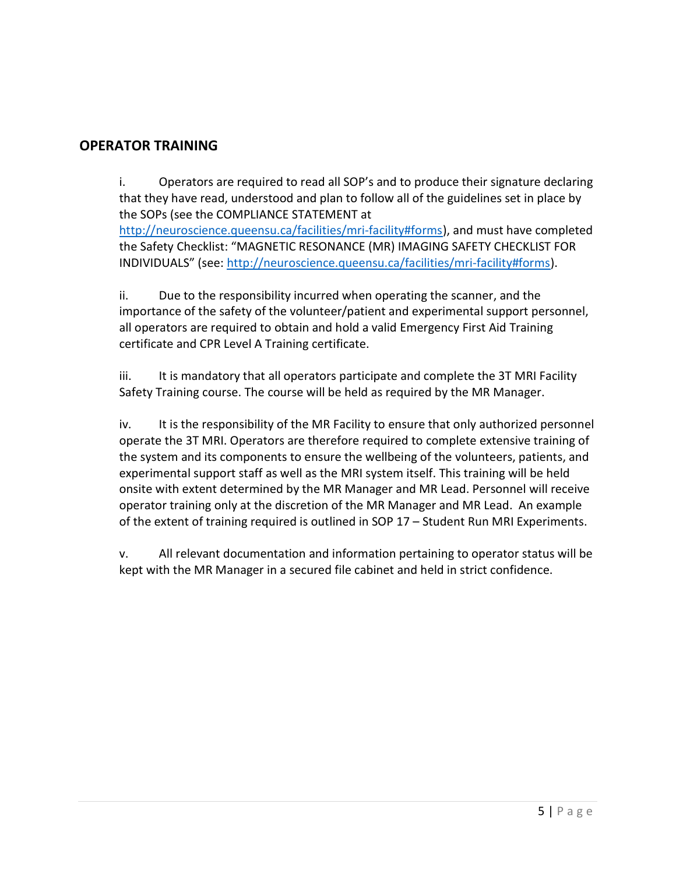## OPERATOR TRAINING

i. Operators are required to read all SOP's and to produce their signature declaring that they have read, understood and plan to follow all of the guidelines set in place by the SOPs (see the COMPLIANCE STATEMENT at http://neuroscience.queensu.ca/facilities/mri-facility#forms), and must have completed the Safety Checklist: "MAGNETIC RESONANCE (MR) IMAGING SAFETY CHECKLIST FOR

INDIVIDUALS" (see: http://neuroscience.queensu.ca/facilities/mri-facility#forms).

ii. Due to the responsibility incurred when operating the scanner, and the importance of the safety of the volunteer/patient and experimental support personnel, all operators are required to obtain and hold a valid Emergency First Aid Training certificate and CPR Level A Training certificate.

iii. It is mandatory that all operators participate and complete the 3T MRI Facility Safety Training course. The course will be held as required by the MR Manager.

iv. It is the responsibility of the MR Facility to ensure that only authorized personnel operate the 3T MRI. Operators are therefore required to complete extensive training of the system and its components to ensure the wellbeing of the volunteers, patients, and experimental support staff as well as the MRI system itself. This training will be held onsite with extent determined by the MR Manager and MR Lead. Personnel will receive operator training only at the discretion of the MR Manager and MR Lead. An example of the extent of training required is outlined in SOP 17 – Student Run MRI Experiments.

v. All relevant documentation and information pertaining to operator status will be kept with the MR Manager in a secured file cabinet and held in strict confidence.